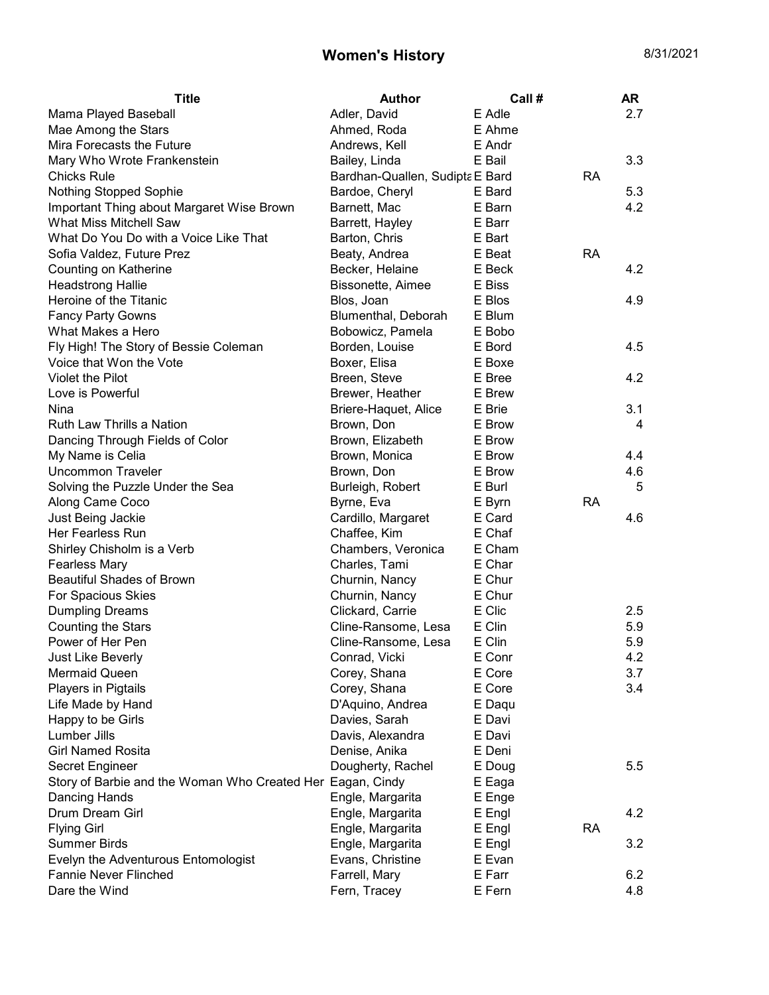| <b>Title</b>                                               | <b>Author</b>                   | Call # |           | <b>AR</b> |
|------------------------------------------------------------|---------------------------------|--------|-----------|-----------|
| Mama Played Baseball                                       | Adler, David                    | E Adle |           | 2.7       |
| Mae Among the Stars                                        | Ahmed, Roda                     | E Ahme |           |           |
| Mira Forecasts the Future                                  | Andrews, Kell                   | E Andr |           |           |
| Mary Who Wrote Frankenstein                                | Bailey, Linda                   | E Bail |           | 3.3       |
| <b>Chicks Rule</b>                                         | Bardhan-Quallen, Sudipta E Bard |        | <b>RA</b> |           |
| Nothing Stopped Sophie                                     | Bardoe, Cheryl                  | E Bard |           | 5.3       |
| Important Thing about Margaret Wise Brown                  | Barnett, Mac                    | E Barn |           | 4.2       |
| What Miss Mitchell Saw                                     | Barrett, Hayley                 | E Barr |           |           |
| What Do You Do with a Voice Like That                      | Barton, Chris                   | E Bart |           |           |
| Sofia Valdez, Future Prez                                  | Beaty, Andrea                   | E Beat | <b>RA</b> |           |
| Counting on Katherine                                      | Becker, Helaine                 | E Beck |           | 4.2       |
| <b>Headstrong Hallie</b>                                   | Bissonette, Aimee               | E Biss |           |           |
| Heroine of the Titanic                                     | Blos, Joan                      | E Blos |           | 4.9       |
| <b>Fancy Party Gowns</b>                                   | Blumenthal, Deborah             | E Blum |           |           |
| What Makes a Hero                                          | Bobowicz, Pamela                | E Bobo |           |           |
| Fly High! The Story of Bessie Coleman                      | Borden, Louise                  | E Bord |           | 4.5       |
| Voice that Won the Vote                                    | Boxer, Elisa                    | E Boxe |           |           |
| <b>Violet the Pilot</b>                                    | Breen, Steve                    | E Bree |           | 4.2       |
| Love is Powerful                                           | Brewer, Heather                 | E Brew |           |           |
| Nina                                                       | Briere-Haquet, Alice            | E Brie |           | 3.1       |
| Ruth Law Thrills a Nation                                  | Brown, Don                      | E Brow |           | 4         |
| Dancing Through Fields of Color                            | Brown, Elizabeth                | E Brow |           |           |
| My Name is Celia                                           | Brown, Monica                   | E Brow |           | 4.4       |
| <b>Uncommon Traveler</b>                                   | Brown, Don                      | E Brow |           | 4.6       |
| Solving the Puzzle Under the Sea                           | Burleigh, Robert                | E Burl |           | 5         |
| Along Came Coco                                            | Byrne, Eva                      | E Byrn | <b>RA</b> |           |
| Just Being Jackie                                          | Cardillo, Margaret              | E Card |           | 4.6       |
| Her Fearless Run                                           | Chaffee, Kim                    | E Chaf |           |           |
| Shirley Chisholm is a Verb                                 | Chambers, Veronica              | E Cham |           |           |
| <b>Fearless Mary</b>                                       | Charles, Tami                   | E Char |           |           |
| <b>Beautiful Shades of Brown</b>                           | Churnin, Nancy                  | E Chur |           |           |
| For Spacious Skies                                         | Churnin, Nancy                  | E Chur |           |           |
| <b>Dumpling Dreams</b>                                     | Clickard, Carrie                | E Clic |           | 2.5       |
| <b>Counting the Stars</b>                                  | Cline-Ransome, Lesa             | E Clin |           | 5.9       |
| Power of Her Pen                                           | Cline-Ransome, Lesa             | E Clin |           | 5.9       |
| Just Like Beverly                                          | Conrad, Vicki                   | E Conr |           | 4.2       |
| <b>Mermaid Queen</b>                                       | Corey, Shana                    | E Core |           | 3.7       |
| Players in Pigtails                                        | Corey, Shana                    | E Core |           | 3.4       |
| Life Made by Hand                                          | D'Aquino, Andrea                | E Daqu |           |           |
| Happy to be Girls                                          | Davies, Sarah                   | E Davi |           |           |
| Lumber Jills                                               | Davis, Alexandra                | E Davi |           |           |
| <b>Girl Named Rosita</b>                                   | Denise, Anika                   | E Deni |           |           |
| Secret Engineer                                            | Dougherty, Rachel               | E Doug |           | 5.5       |
| Story of Barbie and the Woman Who Created Her Eagan, Cindy |                                 | E Eaga |           |           |
| <b>Dancing Hands</b>                                       | Engle, Margarita                | E Enge |           |           |
| Drum Dream Girl                                            | Engle, Margarita                | E Engl |           | 4.2       |
| <b>Flying Girl</b>                                         | Engle, Margarita                | E Engl | <b>RA</b> |           |
| <b>Summer Birds</b>                                        | Engle, Margarita                | E Engl |           | 3.2       |
| Evelyn the Adventurous Entomologist                        | Evans, Christine                | E Evan |           |           |
| <b>Fannie Never Flinched</b>                               | Farrell, Mary                   | E Farr |           | 6.2       |
| Dare the Wind                                              | Fern, Tracey                    | E Fern |           | 4.8       |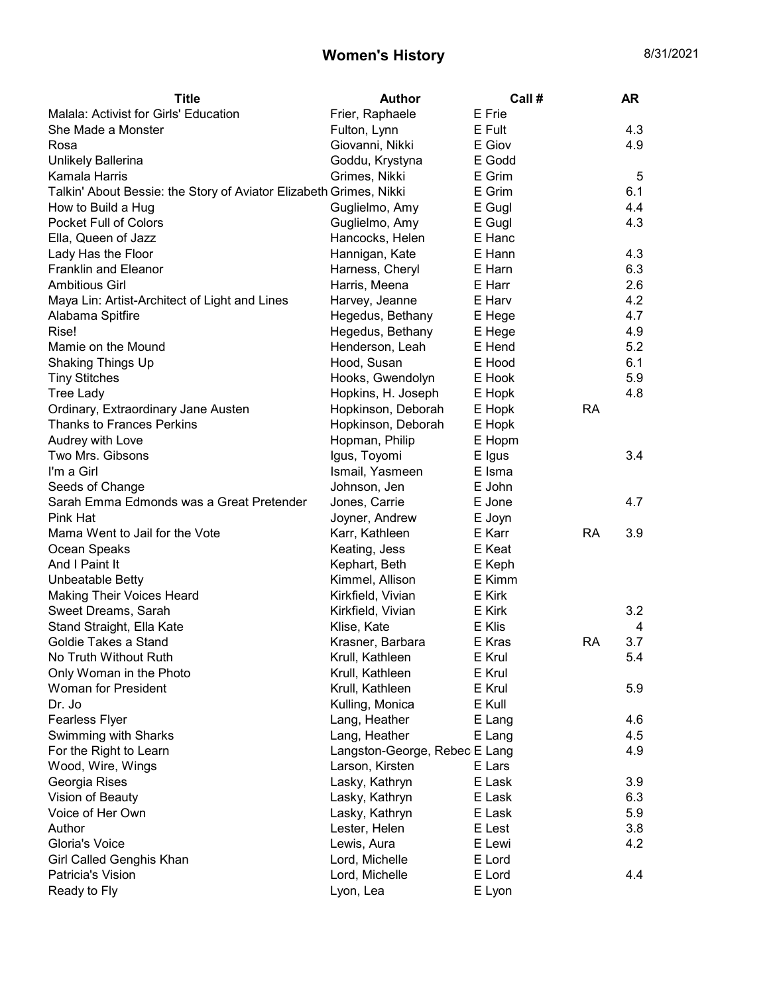| <b>Title</b>                                                       | <b>Author</b>                 | Call # |           | <b>AR</b> |
|--------------------------------------------------------------------|-------------------------------|--------|-----------|-----------|
| Malala: Activist for Girls' Education                              | Frier, Raphaele               | E Frie |           |           |
| She Made a Monster                                                 | Fulton, Lynn                  | E Fult |           | 4.3       |
| Rosa                                                               | Giovanni, Nikki               | E Giov |           | 4.9       |
| Unlikely Ballerina                                                 | Goddu, Krystyna               | E Godd |           |           |
| Kamala Harris                                                      | Grimes, Nikki                 | E Grim |           | 5         |
| Talkin' About Bessie: the Story of Aviator Elizabeth Grimes, Nikki |                               | E Grim |           | 6.1       |
| How to Build a Hug                                                 | Guglielmo, Amy                | E Gugl |           | 4.4       |
| Pocket Full of Colors                                              | Guglielmo, Amy                | E Gugl |           | 4.3       |
| Ella, Queen of Jazz                                                | Hancocks, Helen               | E Hanc |           |           |
| Lady Has the Floor                                                 | Hannigan, Kate                | E Hann |           | 4.3       |
| <b>Franklin and Eleanor</b>                                        | Harness, Cheryl               | E Harn |           | 6.3       |
| <b>Ambitious Girl</b>                                              | Harris, Meena                 | E Harr |           | 2.6       |
| Maya Lin: Artist-Architect of Light and Lines                      | Harvey, Jeanne                | E Harv |           | 4.2       |
| Alabama Spitfire                                                   | Hegedus, Bethany              | E Hege |           | 4.7       |
| Rise!                                                              | Hegedus, Bethany              | E Hege |           | 4.9       |
| Mamie on the Mound                                                 | Henderson, Leah               | E Hend |           | 5.2       |
| Shaking Things Up                                                  | Hood, Susan                   | E Hood |           | 6.1       |
| <b>Tiny Stitches</b>                                               | Hooks, Gwendolyn              | E Hook |           | 5.9       |
| <b>Tree Lady</b>                                                   | Hopkins, H. Joseph            | E Hopk |           | 4.8       |
| Ordinary, Extraordinary Jane Austen                                | Hopkinson, Deborah            | E Hopk | <b>RA</b> |           |
| <b>Thanks to Frances Perkins</b>                                   | Hopkinson, Deborah            | E Hopk |           |           |
| Audrey with Love                                                   | Hopman, Philip                | E Hopm |           |           |
| Two Mrs. Gibsons                                                   | Igus, Toyomi                  | E Igus |           | 3.4       |
| I'm a Girl                                                         | Ismail, Yasmeen               | E Isma |           |           |
| Seeds of Change                                                    | Johnson, Jen                  | E John |           |           |
| Sarah Emma Edmonds was a Great Pretender                           | Jones, Carrie                 | E Jone |           | 4.7       |
| Pink Hat                                                           | Joyner, Andrew                | E Joyn |           |           |
| Mama Went to Jail for the Vote                                     | Karr, Kathleen                | E Karr | <b>RA</b> | 3.9       |
| Ocean Speaks                                                       | Keating, Jess                 | E Keat |           |           |
| And I Paint It                                                     | Kephart, Beth                 | E Keph |           |           |
| Unbeatable Betty                                                   | Kimmel, Allison               | E Kimm |           |           |
| <b>Making Their Voices Heard</b>                                   | Kirkfield, Vivian             | E Kirk |           |           |
| Sweet Dreams, Sarah                                                | Kirkfield, Vivian             | E Kirk |           | 3.2       |
| Stand Straight, Ella Kate                                          | Klise, Kate                   | E Klis |           | 4         |
| Goldie Takes a Stand                                               | Krasner, Barbara              | E Kras | <b>RA</b> | 3.7       |
| No Truth Without Ruth                                              | Krull, Kathleen               | E Krul |           | 5.4       |
| Only Woman in the Photo                                            | Krull, Kathleen               | E Krul |           |           |
| <b>Woman for President</b>                                         | Krull, Kathleen               | E Krul |           | 5.9       |
| Dr. Jo                                                             | Kulling, Monica               | E Kull |           |           |
| <b>Fearless Flyer</b>                                              | Lang, Heather                 | E Lang |           | 4.6       |
| Swimming with Sharks                                               | Lang, Heather                 | E Lang |           | 4.5       |
| For the Right to Learn                                             | Langston-George, Rebec E Lang |        |           | 4.9       |
| Wood, Wire, Wings                                                  | Larson, Kirsten               | E Lars |           |           |
| Georgia Rises                                                      | Lasky, Kathryn                | E Lask |           | 3.9       |
| Vision of Beauty                                                   | Lasky, Kathryn                | E Lask |           | 6.3       |
| Voice of Her Own                                                   | Lasky, Kathryn                | E Lask |           | 5.9       |
| Author                                                             | Lester, Helen                 | E Lest |           | 3.8       |
| Gloria's Voice                                                     | Lewis, Aura                   | E Lewi |           | 4.2       |
| Girl Called Genghis Khan                                           | Lord, Michelle                | E Lord |           |           |
| Patricia's Vision                                                  | Lord, Michelle                | E Lord |           | 4.4       |
| Ready to Fly                                                       | Lyon, Lea                     | E Lyon |           |           |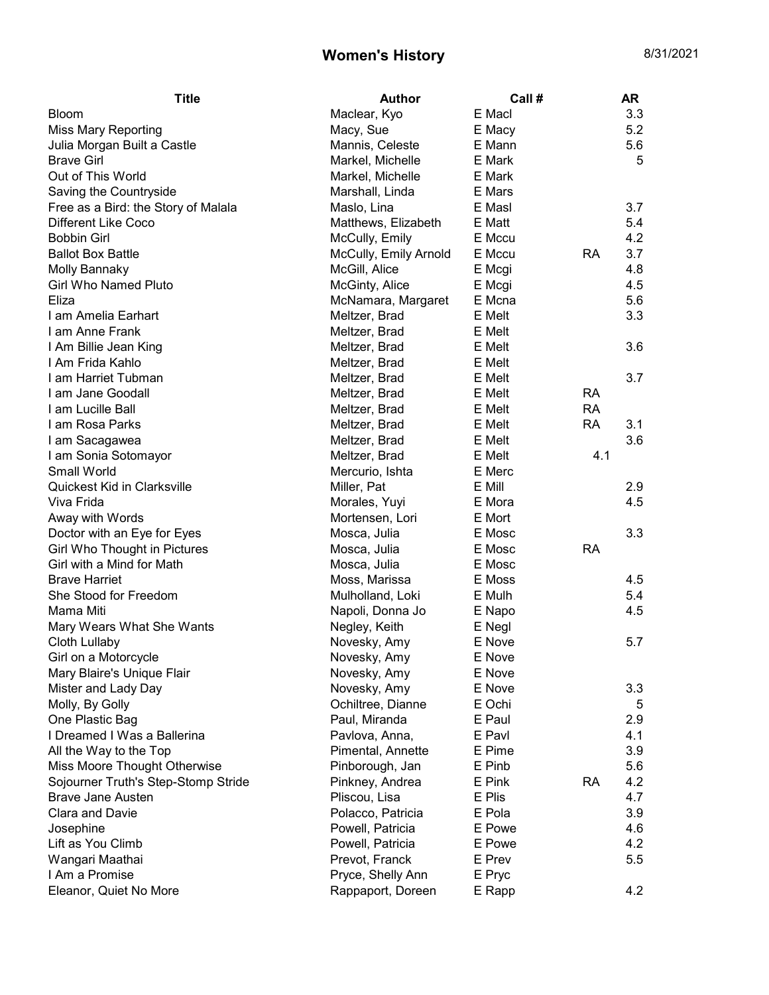| Maclear, Kyo<br>E Macl<br>3.3<br><b>Bloom</b><br>5.2<br>Macy, Sue<br>E Macy<br><b>Miss Mary Reporting</b><br>Mannis, Celeste<br>E Mann<br>5.6<br>Julia Morgan Built a Castle<br><b>Brave Girl</b><br>Markel, Michelle<br>E Mark<br>5<br>Out of This World<br>Markel, Michelle<br>E Mark<br>Saving the Countryside<br>Marshall, Linda<br>E Mars<br>3.7<br>Free as a Bird: the Story of Malala<br>Maslo, Lina<br>E Masl<br>5.4<br>Different Like Coco<br>Matthews, Elizabeth<br>E Matt<br><b>Bobbin Girl</b><br>McCully, Emily<br>E Mccu<br>4.2<br>3.7<br>McCully, Emily Arnold<br>E Mccu<br><b>RA</b><br>McGill, Alice<br>4.8<br>Molly Bannaky<br>E Mcgi<br><b>Girl Who Named Pluto</b><br>4.5<br>McGinty, Alice<br>E Mcgi<br>Eliza<br>McNamara, Margaret<br>E Mcna<br>5.6<br>3.3<br>E Melt<br>I am Amelia Earhart<br>Meltzer, Brad<br>I am Anne Frank<br>E Melt<br>Meltzer, Brad<br>Meltzer, Brad<br>E Melt<br>3.6<br>Meltzer, Brad<br>E Melt<br>Meltzer, Brad<br>E Melt<br>3.7<br>Meltzer, Brad<br>E Melt<br><b>RA</b><br>Meltzer, Brad<br>E Melt<br><b>RA</b><br>Meltzer, Brad<br>E Melt<br><b>RA</b><br>3.1<br>3.6<br>Meltzer, Brad<br>E Melt<br>I am Sacagawea<br>I am Sonia Sotomayor<br>E Melt<br>4.1<br>Meltzer, Brad<br>Small World<br>E Merc<br>Mercurio, Ishta<br>Quickest Kid in Clarksville<br>Miller, Pat<br>E Mill<br>2.9<br>Viva Frida<br>E Mora<br>4.5<br>Morales, Yuyi<br>Away with Words<br>E Mort<br>Mortensen, Lori<br>3.3<br>Doctor with an Eye for Eyes<br>Mosca, Julia<br>E Mosc<br>Girl Who Thought in Pictures<br>E Mosc<br><b>RA</b><br>Mosca, Julia<br>Girl with a Mind for Math<br>Mosca, Julia<br>E Mosc<br>4.5<br>Moss, Marissa<br>E Moss<br>She Stood for Freedom<br>5.4<br>Mulholland, Loki<br>E Mulh<br>Napoli, Donna Jo<br>4.5<br>E Napo<br>Mary Wears What She Wants<br>Negley, Keith<br>E Negl<br>Cloth Lullaby<br>Novesky, Amy<br>E Nove<br>5.7<br>Novesky, Amy<br>E Nove<br>Girl on a Motorcycle<br>Mary Blaire's Unique Flair<br>Novesky, Amy<br>E Nove<br>Mister and Lady Day<br>Novesky, Amy<br>E Nove<br>3.3<br>E Ochi<br>Molly, By Golly<br>Ochiltree, Dianne<br>5<br>One Plastic Bag<br>Paul, Miranda<br>E Paul<br>2.9<br>I Dreamed I Was a Ballerina<br>E Pavl<br>4.1<br>Pavlova, Anna,<br>All the Way to the Top<br>E Pime<br>3.9<br>Pimental, Annette<br>E Pinb<br>5.6<br>Miss Moore Thought Otherwise<br>Pinborough, Jan<br>4.2<br>Sojourner Truth's Step-Stomp Stride<br>Pinkney, Andrea<br>E Pink<br>RA<br><b>Brave Jane Austen</b><br>E Plis<br>4.7<br>Pliscou, Lisa<br><b>Clara and Davie</b><br>E Pola<br>3.9<br>Polacco, Patricia<br>E Powe<br>4.6<br>Josephine<br>Powell, Patricia<br>Lift as You Climb<br>4.2<br>Powell, Patricia<br>E Powe<br>Wangari Maathai<br>Prevot, Franck<br>E Prev<br>5.5<br>I Am a Promise<br>Pryce, Shelly Ann<br>E Pryc<br>Eleanor, Quiet No More<br>4.2<br>Rappaport, Doreen<br>E Rapp | <b>Title</b>             | <b>Author</b> | Call # | AR |
|----------------------------------------------------------------------------------------------------------------------------------------------------------------------------------------------------------------------------------------------------------------------------------------------------------------------------------------------------------------------------------------------------------------------------------------------------------------------------------------------------------------------------------------------------------------------------------------------------------------------------------------------------------------------------------------------------------------------------------------------------------------------------------------------------------------------------------------------------------------------------------------------------------------------------------------------------------------------------------------------------------------------------------------------------------------------------------------------------------------------------------------------------------------------------------------------------------------------------------------------------------------------------------------------------------------------------------------------------------------------------------------------------------------------------------------------------------------------------------------------------------------------------------------------------------------------------------------------------------------------------------------------------------------------------------------------------------------------------------------------------------------------------------------------------------------------------------------------------------------------------------------------------------------------------------------------------------------------------------------------------------------------------------------------------------------------------------------------------------------------------------------------------------------------------------------------------------------------------------------------------------------------------------------------------------------------------------------------------------------------------------------------------------------------------------------------------------------------------------------------------------------------------------------------------------------------------------------------------------------------------------------------------------------------------------------------------------------------------------------------------------------------------------------------------------------------------------------------------------------------------|--------------------------|---------------|--------|----|
|                                                                                                                                                                                                                                                                                                                                                                                                                                                                                                                                                                                                                                                                                                                                                                                                                                                                                                                                                                                                                                                                                                                                                                                                                                                                                                                                                                                                                                                                                                                                                                                                                                                                                                                                                                                                                                                                                                                                                                                                                                                                                                                                                                                                                                                                                                                                                                                                                                                                                                                                                                                                                                                                                                                                                                                                                                                                            |                          |               |        |    |
|                                                                                                                                                                                                                                                                                                                                                                                                                                                                                                                                                                                                                                                                                                                                                                                                                                                                                                                                                                                                                                                                                                                                                                                                                                                                                                                                                                                                                                                                                                                                                                                                                                                                                                                                                                                                                                                                                                                                                                                                                                                                                                                                                                                                                                                                                                                                                                                                                                                                                                                                                                                                                                                                                                                                                                                                                                                                            |                          |               |        |    |
|                                                                                                                                                                                                                                                                                                                                                                                                                                                                                                                                                                                                                                                                                                                                                                                                                                                                                                                                                                                                                                                                                                                                                                                                                                                                                                                                                                                                                                                                                                                                                                                                                                                                                                                                                                                                                                                                                                                                                                                                                                                                                                                                                                                                                                                                                                                                                                                                                                                                                                                                                                                                                                                                                                                                                                                                                                                                            |                          |               |        |    |
|                                                                                                                                                                                                                                                                                                                                                                                                                                                                                                                                                                                                                                                                                                                                                                                                                                                                                                                                                                                                                                                                                                                                                                                                                                                                                                                                                                                                                                                                                                                                                                                                                                                                                                                                                                                                                                                                                                                                                                                                                                                                                                                                                                                                                                                                                                                                                                                                                                                                                                                                                                                                                                                                                                                                                                                                                                                                            |                          |               |        |    |
|                                                                                                                                                                                                                                                                                                                                                                                                                                                                                                                                                                                                                                                                                                                                                                                                                                                                                                                                                                                                                                                                                                                                                                                                                                                                                                                                                                                                                                                                                                                                                                                                                                                                                                                                                                                                                                                                                                                                                                                                                                                                                                                                                                                                                                                                                                                                                                                                                                                                                                                                                                                                                                                                                                                                                                                                                                                                            |                          |               |        |    |
|                                                                                                                                                                                                                                                                                                                                                                                                                                                                                                                                                                                                                                                                                                                                                                                                                                                                                                                                                                                                                                                                                                                                                                                                                                                                                                                                                                                                                                                                                                                                                                                                                                                                                                                                                                                                                                                                                                                                                                                                                                                                                                                                                                                                                                                                                                                                                                                                                                                                                                                                                                                                                                                                                                                                                                                                                                                                            |                          |               |        |    |
|                                                                                                                                                                                                                                                                                                                                                                                                                                                                                                                                                                                                                                                                                                                                                                                                                                                                                                                                                                                                                                                                                                                                                                                                                                                                                                                                                                                                                                                                                                                                                                                                                                                                                                                                                                                                                                                                                                                                                                                                                                                                                                                                                                                                                                                                                                                                                                                                                                                                                                                                                                                                                                                                                                                                                                                                                                                                            |                          |               |        |    |
|                                                                                                                                                                                                                                                                                                                                                                                                                                                                                                                                                                                                                                                                                                                                                                                                                                                                                                                                                                                                                                                                                                                                                                                                                                                                                                                                                                                                                                                                                                                                                                                                                                                                                                                                                                                                                                                                                                                                                                                                                                                                                                                                                                                                                                                                                                                                                                                                                                                                                                                                                                                                                                                                                                                                                                                                                                                                            |                          |               |        |    |
|                                                                                                                                                                                                                                                                                                                                                                                                                                                                                                                                                                                                                                                                                                                                                                                                                                                                                                                                                                                                                                                                                                                                                                                                                                                                                                                                                                                                                                                                                                                                                                                                                                                                                                                                                                                                                                                                                                                                                                                                                                                                                                                                                                                                                                                                                                                                                                                                                                                                                                                                                                                                                                                                                                                                                                                                                                                                            |                          |               |        |    |
|                                                                                                                                                                                                                                                                                                                                                                                                                                                                                                                                                                                                                                                                                                                                                                                                                                                                                                                                                                                                                                                                                                                                                                                                                                                                                                                                                                                                                                                                                                                                                                                                                                                                                                                                                                                                                                                                                                                                                                                                                                                                                                                                                                                                                                                                                                                                                                                                                                                                                                                                                                                                                                                                                                                                                                                                                                                                            | <b>Ballot Box Battle</b> |               |        |    |
|                                                                                                                                                                                                                                                                                                                                                                                                                                                                                                                                                                                                                                                                                                                                                                                                                                                                                                                                                                                                                                                                                                                                                                                                                                                                                                                                                                                                                                                                                                                                                                                                                                                                                                                                                                                                                                                                                                                                                                                                                                                                                                                                                                                                                                                                                                                                                                                                                                                                                                                                                                                                                                                                                                                                                                                                                                                                            |                          |               |        |    |
|                                                                                                                                                                                                                                                                                                                                                                                                                                                                                                                                                                                                                                                                                                                                                                                                                                                                                                                                                                                                                                                                                                                                                                                                                                                                                                                                                                                                                                                                                                                                                                                                                                                                                                                                                                                                                                                                                                                                                                                                                                                                                                                                                                                                                                                                                                                                                                                                                                                                                                                                                                                                                                                                                                                                                                                                                                                                            |                          |               |        |    |
|                                                                                                                                                                                                                                                                                                                                                                                                                                                                                                                                                                                                                                                                                                                                                                                                                                                                                                                                                                                                                                                                                                                                                                                                                                                                                                                                                                                                                                                                                                                                                                                                                                                                                                                                                                                                                                                                                                                                                                                                                                                                                                                                                                                                                                                                                                                                                                                                                                                                                                                                                                                                                                                                                                                                                                                                                                                                            |                          |               |        |    |
|                                                                                                                                                                                                                                                                                                                                                                                                                                                                                                                                                                                                                                                                                                                                                                                                                                                                                                                                                                                                                                                                                                                                                                                                                                                                                                                                                                                                                                                                                                                                                                                                                                                                                                                                                                                                                                                                                                                                                                                                                                                                                                                                                                                                                                                                                                                                                                                                                                                                                                                                                                                                                                                                                                                                                                                                                                                                            |                          |               |        |    |
|                                                                                                                                                                                                                                                                                                                                                                                                                                                                                                                                                                                                                                                                                                                                                                                                                                                                                                                                                                                                                                                                                                                                                                                                                                                                                                                                                                                                                                                                                                                                                                                                                                                                                                                                                                                                                                                                                                                                                                                                                                                                                                                                                                                                                                                                                                                                                                                                                                                                                                                                                                                                                                                                                                                                                                                                                                                                            |                          |               |        |    |
|                                                                                                                                                                                                                                                                                                                                                                                                                                                                                                                                                                                                                                                                                                                                                                                                                                                                                                                                                                                                                                                                                                                                                                                                                                                                                                                                                                                                                                                                                                                                                                                                                                                                                                                                                                                                                                                                                                                                                                                                                                                                                                                                                                                                                                                                                                                                                                                                                                                                                                                                                                                                                                                                                                                                                                                                                                                                            | I Am Billie Jean King    |               |        |    |
|                                                                                                                                                                                                                                                                                                                                                                                                                                                                                                                                                                                                                                                                                                                                                                                                                                                                                                                                                                                                                                                                                                                                                                                                                                                                                                                                                                                                                                                                                                                                                                                                                                                                                                                                                                                                                                                                                                                                                                                                                                                                                                                                                                                                                                                                                                                                                                                                                                                                                                                                                                                                                                                                                                                                                                                                                                                                            | I Am Frida Kahlo         |               |        |    |
|                                                                                                                                                                                                                                                                                                                                                                                                                                                                                                                                                                                                                                                                                                                                                                                                                                                                                                                                                                                                                                                                                                                                                                                                                                                                                                                                                                                                                                                                                                                                                                                                                                                                                                                                                                                                                                                                                                                                                                                                                                                                                                                                                                                                                                                                                                                                                                                                                                                                                                                                                                                                                                                                                                                                                                                                                                                                            | I am Harriet Tubman      |               |        |    |
|                                                                                                                                                                                                                                                                                                                                                                                                                                                                                                                                                                                                                                                                                                                                                                                                                                                                                                                                                                                                                                                                                                                                                                                                                                                                                                                                                                                                                                                                                                                                                                                                                                                                                                                                                                                                                                                                                                                                                                                                                                                                                                                                                                                                                                                                                                                                                                                                                                                                                                                                                                                                                                                                                                                                                                                                                                                                            | I am Jane Goodall        |               |        |    |
|                                                                                                                                                                                                                                                                                                                                                                                                                                                                                                                                                                                                                                                                                                                                                                                                                                                                                                                                                                                                                                                                                                                                                                                                                                                                                                                                                                                                                                                                                                                                                                                                                                                                                                                                                                                                                                                                                                                                                                                                                                                                                                                                                                                                                                                                                                                                                                                                                                                                                                                                                                                                                                                                                                                                                                                                                                                                            | I am Lucille Ball        |               |        |    |
|                                                                                                                                                                                                                                                                                                                                                                                                                                                                                                                                                                                                                                                                                                                                                                                                                                                                                                                                                                                                                                                                                                                                                                                                                                                                                                                                                                                                                                                                                                                                                                                                                                                                                                                                                                                                                                                                                                                                                                                                                                                                                                                                                                                                                                                                                                                                                                                                                                                                                                                                                                                                                                                                                                                                                                                                                                                                            | I am Rosa Parks          |               |        |    |
|                                                                                                                                                                                                                                                                                                                                                                                                                                                                                                                                                                                                                                                                                                                                                                                                                                                                                                                                                                                                                                                                                                                                                                                                                                                                                                                                                                                                                                                                                                                                                                                                                                                                                                                                                                                                                                                                                                                                                                                                                                                                                                                                                                                                                                                                                                                                                                                                                                                                                                                                                                                                                                                                                                                                                                                                                                                                            |                          |               |        |    |
|                                                                                                                                                                                                                                                                                                                                                                                                                                                                                                                                                                                                                                                                                                                                                                                                                                                                                                                                                                                                                                                                                                                                                                                                                                                                                                                                                                                                                                                                                                                                                                                                                                                                                                                                                                                                                                                                                                                                                                                                                                                                                                                                                                                                                                                                                                                                                                                                                                                                                                                                                                                                                                                                                                                                                                                                                                                                            |                          |               |        |    |
|                                                                                                                                                                                                                                                                                                                                                                                                                                                                                                                                                                                                                                                                                                                                                                                                                                                                                                                                                                                                                                                                                                                                                                                                                                                                                                                                                                                                                                                                                                                                                                                                                                                                                                                                                                                                                                                                                                                                                                                                                                                                                                                                                                                                                                                                                                                                                                                                                                                                                                                                                                                                                                                                                                                                                                                                                                                                            |                          |               |        |    |
|                                                                                                                                                                                                                                                                                                                                                                                                                                                                                                                                                                                                                                                                                                                                                                                                                                                                                                                                                                                                                                                                                                                                                                                                                                                                                                                                                                                                                                                                                                                                                                                                                                                                                                                                                                                                                                                                                                                                                                                                                                                                                                                                                                                                                                                                                                                                                                                                                                                                                                                                                                                                                                                                                                                                                                                                                                                                            |                          |               |        |    |
|                                                                                                                                                                                                                                                                                                                                                                                                                                                                                                                                                                                                                                                                                                                                                                                                                                                                                                                                                                                                                                                                                                                                                                                                                                                                                                                                                                                                                                                                                                                                                                                                                                                                                                                                                                                                                                                                                                                                                                                                                                                                                                                                                                                                                                                                                                                                                                                                                                                                                                                                                                                                                                                                                                                                                                                                                                                                            |                          |               |        |    |
|                                                                                                                                                                                                                                                                                                                                                                                                                                                                                                                                                                                                                                                                                                                                                                                                                                                                                                                                                                                                                                                                                                                                                                                                                                                                                                                                                                                                                                                                                                                                                                                                                                                                                                                                                                                                                                                                                                                                                                                                                                                                                                                                                                                                                                                                                                                                                                                                                                                                                                                                                                                                                                                                                                                                                                                                                                                                            |                          |               |        |    |
|                                                                                                                                                                                                                                                                                                                                                                                                                                                                                                                                                                                                                                                                                                                                                                                                                                                                                                                                                                                                                                                                                                                                                                                                                                                                                                                                                                                                                                                                                                                                                                                                                                                                                                                                                                                                                                                                                                                                                                                                                                                                                                                                                                                                                                                                                                                                                                                                                                                                                                                                                                                                                                                                                                                                                                                                                                                                            |                          |               |        |    |
|                                                                                                                                                                                                                                                                                                                                                                                                                                                                                                                                                                                                                                                                                                                                                                                                                                                                                                                                                                                                                                                                                                                                                                                                                                                                                                                                                                                                                                                                                                                                                                                                                                                                                                                                                                                                                                                                                                                                                                                                                                                                                                                                                                                                                                                                                                                                                                                                                                                                                                                                                                                                                                                                                                                                                                                                                                                                            |                          |               |        |    |
|                                                                                                                                                                                                                                                                                                                                                                                                                                                                                                                                                                                                                                                                                                                                                                                                                                                                                                                                                                                                                                                                                                                                                                                                                                                                                                                                                                                                                                                                                                                                                                                                                                                                                                                                                                                                                                                                                                                                                                                                                                                                                                                                                                                                                                                                                                                                                                                                                                                                                                                                                                                                                                                                                                                                                                                                                                                                            |                          |               |        |    |
|                                                                                                                                                                                                                                                                                                                                                                                                                                                                                                                                                                                                                                                                                                                                                                                                                                                                                                                                                                                                                                                                                                                                                                                                                                                                                                                                                                                                                                                                                                                                                                                                                                                                                                                                                                                                                                                                                                                                                                                                                                                                                                                                                                                                                                                                                                                                                                                                                                                                                                                                                                                                                                                                                                                                                                                                                                                                            | <b>Brave Harriet</b>     |               |        |    |
|                                                                                                                                                                                                                                                                                                                                                                                                                                                                                                                                                                                                                                                                                                                                                                                                                                                                                                                                                                                                                                                                                                                                                                                                                                                                                                                                                                                                                                                                                                                                                                                                                                                                                                                                                                                                                                                                                                                                                                                                                                                                                                                                                                                                                                                                                                                                                                                                                                                                                                                                                                                                                                                                                                                                                                                                                                                                            |                          |               |        |    |
|                                                                                                                                                                                                                                                                                                                                                                                                                                                                                                                                                                                                                                                                                                                                                                                                                                                                                                                                                                                                                                                                                                                                                                                                                                                                                                                                                                                                                                                                                                                                                                                                                                                                                                                                                                                                                                                                                                                                                                                                                                                                                                                                                                                                                                                                                                                                                                                                                                                                                                                                                                                                                                                                                                                                                                                                                                                                            | Mama Miti                |               |        |    |
|                                                                                                                                                                                                                                                                                                                                                                                                                                                                                                                                                                                                                                                                                                                                                                                                                                                                                                                                                                                                                                                                                                                                                                                                                                                                                                                                                                                                                                                                                                                                                                                                                                                                                                                                                                                                                                                                                                                                                                                                                                                                                                                                                                                                                                                                                                                                                                                                                                                                                                                                                                                                                                                                                                                                                                                                                                                                            |                          |               |        |    |
|                                                                                                                                                                                                                                                                                                                                                                                                                                                                                                                                                                                                                                                                                                                                                                                                                                                                                                                                                                                                                                                                                                                                                                                                                                                                                                                                                                                                                                                                                                                                                                                                                                                                                                                                                                                                                                                                                                                                                                                                                                                                                                                                                                                                                                                                                                                                                                                                                                                                                                                                                                                                                                                                                                                                                                                                                                                                            |                          |               |        |    |
|                                                                                                                                                                                                                                                                                                                                                                                                                                                                                                                                                                                                                                                                                                                                                                                                                                                                                                                                                                                                                                                                                                                                                                                                                                                                                                                                                                                                                                                                                                                                                                                                                                                                                                                                                                                                                                                                                                                                                                                                                                                                                                                                                                                                                                                                                                                                                                                                                                                                                                                                                                                                                                                                                                                                                                                                                                                                            |                          |               |        |    |
|                                                                                                                                                                                                                                                                                                                                                                                                                                                                                                                                                                                                                                                                                                                                                                                                                                                                                                                                                                                                                                                                                                                                                                                                                                                                                                                                                                                                                                                                                                                                                                                                                                                                                                                                                                                                                                                                                                                                                                                                                                                                                                                                                                                                                                                                                                                                                                                                                                                                                                                                                                                                                                                                                                                                                                                                                                                                            |                          |               |        |    |
|                                                                                                                                                                                                                                                                                                                                                                                                                                                                                                                                                                                                                                                                                                                                                                                                                                                                                                                                                                                                                                                                                                                                                                                                                                                                                                                                                                                                                                                                                                                                                                                                                                                                                                                                                                                                                                                                                                                                                                                                                                                                                                                                                                                                                                                                                                                                                                                                                                                                                                                                                                                                                                                                                                                                                                                                                                                                            |                          |               |        |    |
|                                                                                                                                                                                                                                                                                                                                                                                                                                                                                                                                                                                                                                                                                                                                                                                                                                                                                                                                                                                                                                                                                                                                                                                                                                                                                                                                                                                                                                                                                                                                                                                                                                                                                                                                                                                                                                                                                                                                                                                                                                                                                                                                                                                                                                                                                                                                                                                                                                                                                                                                                                                                                                                                                                                                                                                                                                                                            |                          |               |        |    |
|                                                                                                                                                                                                                                                                                                                                                                                                                                                                                                                                                                                                                                                                                                                                                                                                                                                                                                                                                                                                                                                                                                                                                                                                                                                                                                                                                                                                                                                                                                                                                                                                                                                                                                                                                                                                                                                                                                                                                                                                                                                                                                                                                                                                                                                                                                                                                                                                                                                                                                                                                                                                                                                                                                                                                                                                                                                                            |                          |               |        |    |
|                                                                                                                                                                                                                                                                                                                                                                                                                                                                                                                                                                                                                                                                                                                                                                                                                                                                                                                                                                                                                                                                                                                                                                                                                                                                                                                                                                                                                                                                                                                                                                                                                                                                                                                                                                                                                                                                                                                                                                                                                                                                                                                                                                                                                                                                                                                                                                                                                                                                                                                                                                                                                                                                                                                                                                                                                                                                            |                          |               |        |    |
|                                                                                                                                                                                                                                                                                                                                                                                                                                                                                                                                                                                                                                                                                                                                                                                                                                                                                                                                                                                                                                                                                                                                                                                                                                                                                                                                                                                                                                                                                                                                                                                                                                                                                                                                                                                                                                                                                                                                                                                                                                                                                                                                                                                                                                                                                                                                                                                                                                                                                                                                                                                                                                                                                                                                                                                                                                                                            |                          |               |        |    |
|                                                                                                                                                                                                                                                                                                                                                                                                                                                                                                                                                                                                                                                                                                                                                                                                                                                                                                                                                                                                                                                                                                                                                                                                                                                                                                                                                                                                                                                                                                                                                                                                                                                                                                                                                                                                                                                                                                                                                                                                                                                                                                                                                                                                                                                                                                                                                                                                                                                                                                                                                                                                                                                                                                                                                                                                                                                                            |                          |               |        |    |
|                                                                                                                                                                                                                                                                                                                                                                                                                                                                                                                                                                                                                                                                                                                                                                                                                                                                                                                                                                                                                                                                                                                                                                                                                                                                                                                                                                                                                                                                                                                                                                                                                                                                                                                                                                                                                                                                                                                                                                                                                                                                                                                                                                                                                                                                                                                                                                                                                                                                                                                                                                                                                                                                                                                                                                                                                                                                            |                          |               |        |    |
|                                                                                                                                                                                                                                                                                                                                                                                                                                                                                                                                                                                                                                                                                                                                                                                                                                                                                                                                                                                                                                                                                                                                                                                                                                                                                                                                                                                                                                                                                                                                                                                                                                                                                                                                                                                                                                                                                                                                                                                                                                                                                                                                                                                                                                                                                                                                                                                                                                                                                                                                                                                                                                                                                                                                                                                                                                                                            |                          |               |        |    |
|                                                                                                                                                                                                                                                                                                                                                                                                                                                                                                                                                                                                                                                                                                                                                                                                                                                                                                                                                                                                                                                                                                                                                                                                                                                                                                                                                                                                                                                                                                                                                                                                                                                                                                                                                                                                                                                                                                                                                                                                                                                                                                                                                                                                                                                                                                                                                                                                                                                                                                                                                                                                                                                                                                                                                                                                                                                                            |                          |               |        |    |
|                                                                                                                                                                                                                                                                                                                                                                                                                                                                                                                                                                                                                                                                                                                                                                                                                                                                                                                                                                                                                                                                                                                                                                                                                                                                                                                                                                                                                                                                                                                                                                                                                                                                                                                                                                                                                                                                                                                                                                                                                                                                                                                                                                                                                                                                                                                                                                                                                                                                                                                                                                                                                                                                                                                                                                                                                                                                            |                          |               |        |    |
|                                                                                                                                                                                                                                                                                                                                                                                                                                                                                                                                                                                                                                                                                                                                                                                                                                                                                                                                                                                                                                                                                                                                                                                                                                                                                                                                                                                                                                                                                                                                                                                                                                                                                                                                                                                                                                                                                                                                                                                                                                                                                                                                                                                                                                                                                                                                                                                                                                                                                                                                                                                                                                                                                                                                                                                                                                                                            |                          |               |        |    |
|                                                                                                                                                                                                                                                                                                                                                                                                                                                                                                                                                                                                                                                                                                                                                                                                                                                                                                                                                                                                                                                                                                                                                                                                                                                                                                                                                                                                                                                                                                                                                                                                                                                                                                                                                                                                                                                                                                                                                                                                                                                                                                                                                                                                                                                                                                                                                                                                                                                                                                                                                                                                                                                                                                                                                                                                                                                                            |                          |               |        |    |
|                                                                                                                                                                                                                                                                                                                                                                                                                                                                                                                                                                                                                                                                                                                                                                                                                                                                                                                                                                                                                                                                                                                                                                                                                                                                                                                                                                                                                                                                                                                                                                                                                                                                                                                                                                                                                                                                                                                                                                                                                                                                                                                                                                                                                                                                                                                                                                                                                                                                                                                                                                                                                                                                                                                                                                                                                                                                            |                          |               |        |    |
|                                                                                                                                                                                                                                                                                                                                                                                                                                                                                                                                                                                                                                                                                                                                                                                                                                                                                                                                                                                                                                                                                                                                                                                                                                                                                                                                                                                                                                                                                                                                                                                                                                                                                                                                                                                                                                                                                                                                                                                                                                                                                                                                                                                                                                                                                                                                                                                                                                                                                                                                                                                                                                                                                                                                                                                                                                                                            |                          |               |        |    |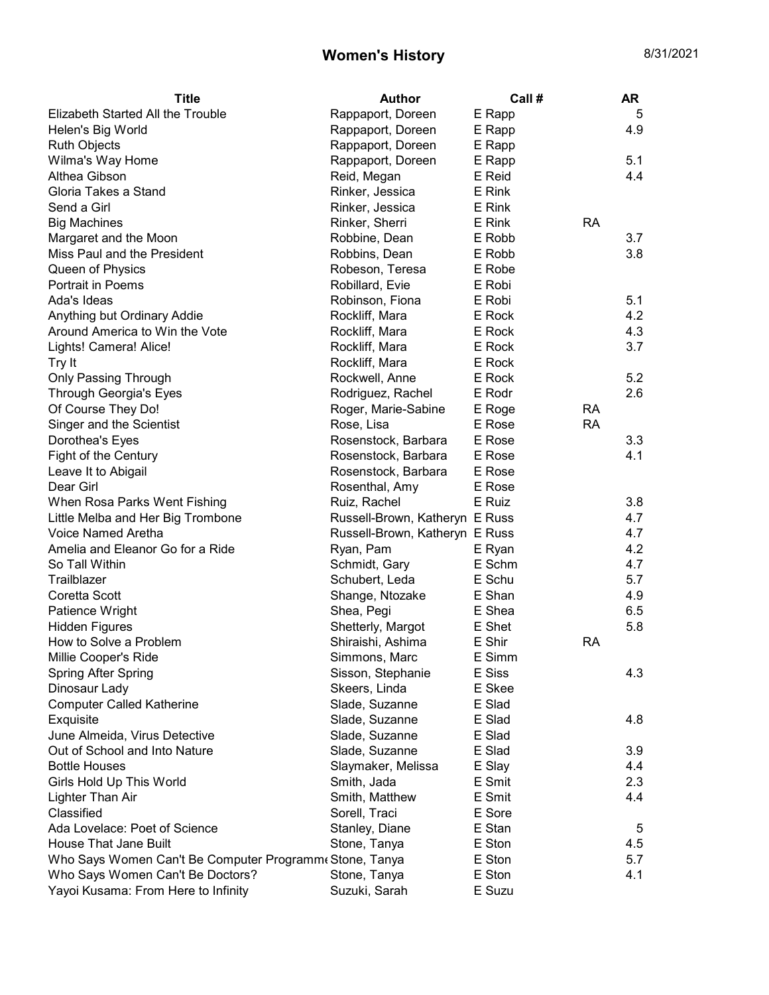| <b>Title</b>                                            | <b>Author</b>                  | Call # |           | AR  |
|---------------------------------------------------------|--------------------------------|--------|-----------|-----|
| Elizabeth Started All the Trouble                       | Rappaport, Doreen              | E Rapp |           | 5   |
| Helen's Big World                                       | Rappaport, Doreen              | E Rapp |           | 4.9 |
| <b>Ruth Objects</b>                                     | Rappaport, Doreen              | E Rapp |           |     |
| Wilma's Way Home                                        | Rappaport, Doreen              | E Rapp |           | 5.1 |
| Althea Gibson                                           | Reid, Megan                    | E Reid |           | 4.4 |
| Gloria Takes a Stand                                    | Rinker, Jessica                | E Rink |           |     |
| Send a Girl                                             | Rinker, Jessica                | E Rink |           |     |
| <b>Big Machines</b>                                     | Rinker, Sherri                 | E Rink | RA        |     |
| Margaret and the Moon                                   | Robbine, Dean                  | E Robb |           | 3.7 |
| Miss Paul and the President                             | Robbins, Dean                  | E Robb |           | 3.8 |
| Queen of Physics                                        | Robeson, Teresa                | E Robe |           |     |
| Portrait in Poems                                       | Robillard, Evie                | E Robi |           |     |
| Ada's Ideas                                             | Robinson, Fiona                | E Robi |           | 5.1 |
| Anything but Ordinary Addie                             | Rockliff, Mara                 | E Rock |           | 4.2 |
| Around America to Win the Vote                          | Rockliff, Mara                 | E Rock |           | 4.3 |
| Lights! Camera! Alice!                                  | Rockliff, Mara                 | E Rock |           | 3.7 |
| Try It                                                  | Rockliff, Mara                 | E Rock |           |     |
| Only Passing Through                                    | Rockwell, Anne                 | E Rock |           | 5.2 |
| Through Georgia's Eyes                                  | Rodriguez, Rachel              | E Rodr |           | 2.6 |
| Of Course They Do!                                      | Roger, Marie-Sabine            | E Roge | <b>RA</b> |     |
| Singer and the Scientist                                | Rose, Lisa                     | E Rose | <b>RA</b> |     |
| Dorothea's Eyes                                         | Rosenstock, Barbara            | E Rose |           | 3.3 |
| Fight of the Century                                    | Rosenstock, Barbara            | E Rose |           | 4.1 |
| Leave It to Abigail                                     | Rosenstock, Barbara            | E Rose |           |     |
| Dear Girl                                               | Rosenthal, Amy                 | E Rose |           |     |
| When Rosa Parks Went Fishing                            | Ruiz, Rachel                   | E Ruiz |           | 3.8 |
| Little Melba and Her Big Trombone                       | Russell-Brown, Katheryn E Russ |        |           | 4.7 |
| Voice Named Aretha                                      | Russell-Brown, Katheryn E Russ |        |           | 4.7 |
| Amelia and Eleanor Go for a Ride                        | Ryan, Pam                      | E Ryan |           | 4.2 |
| So Tall Within                                          | Schmidt, Gary                  | E Schm |           | 4.7 |
| Trailblazer                                             | Schubert, Leda                 | E Schu |           | 5.7 |
| Coretta Scott                                           | Shange, Ntozake                | E Shan |           | 4.9 |
| Patience Wright                                         | Shea, Pegi                     | E Shea |           | 6.5 |
| <b>Hidden Figures</b>                                   | Shetterly, Margot              | E Shet |           | 5.8 |
| How to Solve a Problem                                  | Shiraishi, Ashima              | E Shir | RA        |     |
| Millie Cooper's Ride                                    | Simmons, Marc                  | E Simm |           |     |
| Spring After Spring                                     | Sisson, Stephanie              | E Siss |           | 4.3 |
| Dinosaur Lady                                           | Skeers, Linda                  | E Skee |           |     |
| <b>Computer Called Katherine</b>                        | Slade, Suzanne                 | E Slad |           |     |
| Exquisite                                               | Slade, Suzanne                 | E Slad |           | 4.8 |
| June Almeida, Virus Detective                           | Slade, Suzanne                 | E Slad |           |     |
| Out of School and Into Nature                           | Slade, Suzanne                 | E Slad |           | 3.9 |
| <b>Bottle Houses</b>                                    | Slaymaker, Melissa             | E Slay |           | 4.4 |
| Girls Hold Up This World                                | Smith, Jada                    | E Smit |           | 2.3 |
| Lighter Than Air                                        | Smith, Matthew                 | E Smit |           | 4.4 |
| Classified                                              | Sorell, Traci                  | E Sore |           |     |
| Ada Lovelace: Poet of Science                           | Stanley, Diane                 | E Stan |           | 5   |
| House That Jane Built                                   | Stone, Tanya                   | E Ston |           | 4.5 |
| Who Says Women Can't Be Computer Programm eStone, Tanya |                                | E Ston |           | 5.7 |
| Who Says Women Can't Be Doctors?                        | Stone, Tanya                   | E Ston |           | 4.1 |
| Yayoi Kusama: From Here to Infinity                     | Suzuki, Sarah                  | E Suzu |           |     |
|                                                         |                                |        |           |     |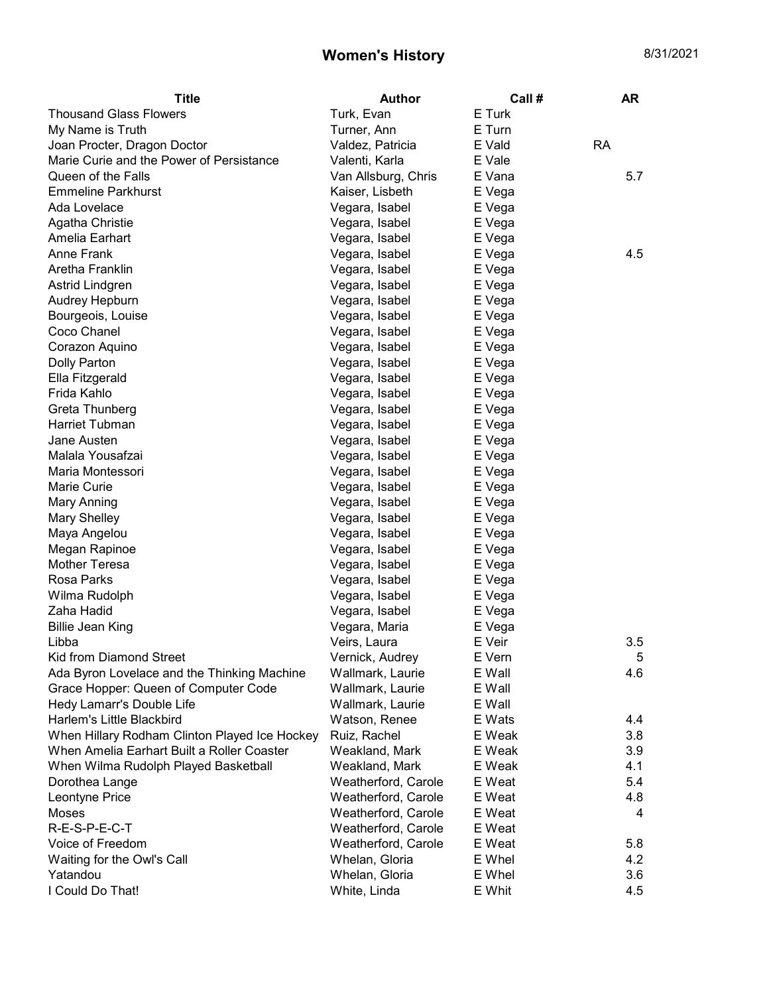| Title                                         | <b>Author</b>       | Call # | AR        |
|-----------------------------------------------|---------------------|--------|-----------|
| <b>Thousand Glass Flowers</b>                 | Turk, Evan          | E Turk |           |
| My Name is Truth                              | Turner, Ann         | E Turn |           |
| Joan Procter, Dragon Doctor                   | Valdez, Patricia    | E Vald | <b>RA</b> |
| Marie Curie and the Power of Persistance      | Valenti, Karla      | E Vale |           |
| Queen of the Falls                            | Van Allsburg, Chris | E Vana | 5.7       |
| <b>Emmeline Parkhurst</b>                     | Kaiser, Lisbeth     | E Vega |           |
| Ada Lovelace                                  | Vegara, Isabel      | E Vega |           |
| Agatha Christie                               | Vegara, Isabel      | E Vega |           |
| Amelia Earhart                                | Vegara, Isabel      | E Vega |           |
| <b>Anne Frank</b>                             | Vegara, Isabel      | E Vega | 4.5       |
| Aretha Franklin                               | Vegara, Isabel      | E Vega |           |
| Astrid Lindgren                               | Vegara, Isabel      | E Vega |           |
| Audrey Hepburn                                | Vegara, Isabel      | E Vega |           |
| Bourgeois, Louise                             | Vegara, Isabel      | E Vega |           |
| Coco Chanel                                   | Vegara, Isabel      | E Vega |           |
| Corazon Aquino                                | Vegara, Isabel      | E Vega |           |
| <b>Dolly Parton</b>                           | Vegara, Isabel      | E Vega |           |
| Ella Fitzgerald                               | Vegara, Isabel      | E Vega |           |
| Frida Kahlo                                   | Vegara, Isabel      | E Vega |           |
| Greta Thunberg                                | Vegara, Isabel      | E Vega |           |
| Harriet Tubman                                | Vegara, Isabel      | E Vega |           |
| Jane Austen                                   | Vegara, Isabel      | E Vega |           |
| Malala Yousafzai                              | Vegara, Isabel      | E Vega |           |
| Maria Montessori                              | Vegara, Isabel      | E Vega |           |
| Marie Curie                                   | Vegara, Isabel      | E Vega |           |
| Mary Anning                                   | Vegara, Isabel      | E Vega |           |
| Mary Shelley                                  | Vegara, Isabel      | E Vega |           |
| Maya Angelou                                  | Vegara, Isabel      | E Vega |           |
| Megan Rapinoe                                 | Vegara, Isabel      | E Vega |           |
| <b>Mother Teresa</b>                          | Vegara, Isabel      | E Vega |           |
| Rosa Parks                                    | Vegara, Isabel      | E Vega |           |
| Wilma Rudolph                                 | Vegara, Isabel      | E Vega |           |
| Zaha Hadid                                    | Vegara, Isabel      | E Vega |           |
| <b>Billie Jean King</b>                       | Vegara, Maria       | E Vega |           |
| Libba                                         | Veirs, Laura        | E Veir | 3.5       |
| Kid from Diamond Street                       | Vernick, Audrey     | E Vern | 5         |
| Ada Byron Lovelace and the Thinking Machine   | Wallmark, Laurie    | E Wall | 4.6       |
| Grace Hopper: Queen of Computer Code          | Wallmark, Laurie    | E Wall |           |
| Hedy Lamarr's Double Life                     | Wallmark, Laurie    | E Wall |           |
| Harlem's Little Blackbird                     | Watson, Renee       | E Wats | 4.4       |
| When Hillary Rodham Clinton Played Ice Hockey | Ruiz, Rachel        | E Weak | 3.8       |
| When Amelia Earhart Built a Roller Coaster    | Weakland, Mark      | E Weak | 3.9       |
| When Wilma Rudolph Played Basketball          | Weakland, Mark      | E Weak | 4.1       |
| Dorothea Lange                                | Weatherford, Carole | E Weat | 5.4       |
| Leontyne Price                                | Weatherford, Carole | E Weat | 4.8       |
| Moses                                         | Weatherford, Carole | E Weat | 4         |
| R-E-S-P-E-C-T                                 | Weatherford, Carole | E Weat |           |
| Voice of Freedom                              | Weatherford, Carole | E Weat | 5.8       |
| Waiting for the Owl's Call                    | Whelan, Gloria      | E Whel | 4.2       |
| Yatandou                                      | Whelan, Gloria      | E Whel | 3.6       |
| I Could Do That!                              | White, Linda        | E Whit | 4.5       |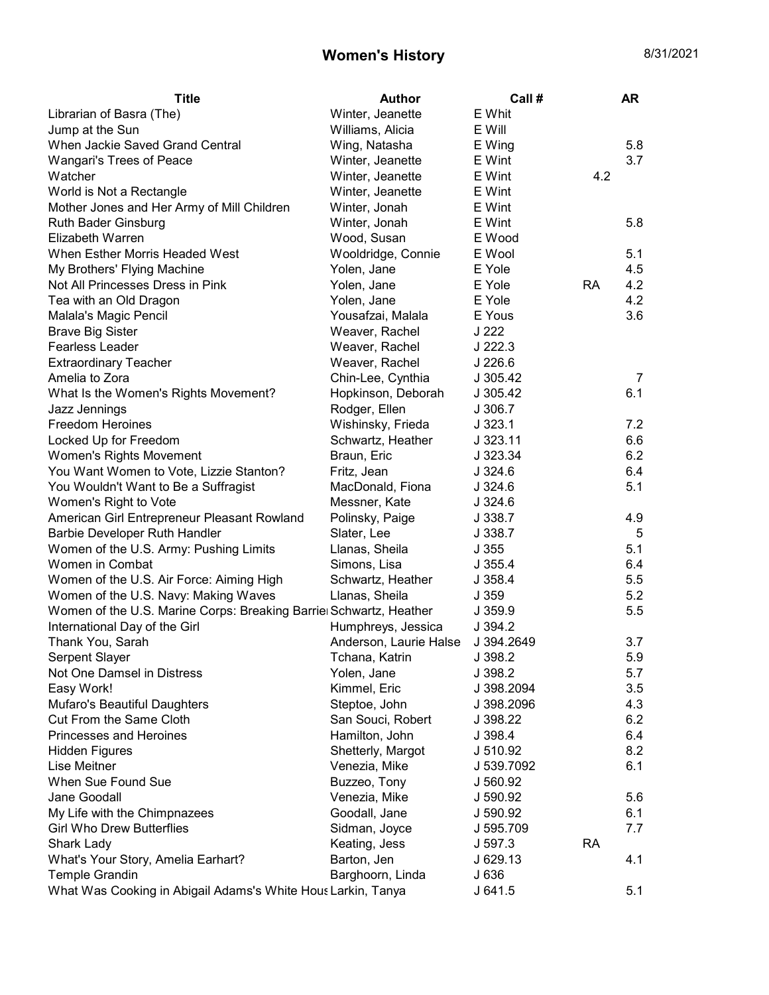| <b>Title</b>                                                       | <b>Author</b>          | Call #     |           | <b>AR</b> |
|--------------------------------------------------------------------|------------------------|------------|-----------|-----------|
| Librarian of Basra (The)                                           | Winter, Jeanette       | E Whit     |           |           |
| Jump at the Sun                                                    | Williams, Alicia       | E Will     |           |           |
| When Jackie Saved Grand Central                                    | Wing, Natasha          | E Wing     |           | 5.8       |
| Wangari's Trees of Peace                                           | Winter, Jeanette       | E Wint     |           | 3.7       |
| Watcher                                                            | Winter, Jeanette       | E Wint     | 4.2       |           |
| World is Not a Rectangle                                           | Winter, Jeanette       | E Wint     |           |           |
| Mother Jones and Her Army of Mill Children                         | Winter, Jonah          | E Wint     |           |           |
| <b>Ruth Bader Ginsburg</b>                                         | Winter, Jonah          | E Wint     |           | 5.8       |
| Elizabeth Warren                                                   | Wood, Susan            | E Wood     |           |           |
| When Esther Morris Headed West                                     | Wooldridge, Connie     | E Wool     |           | 5.1       |
| My Brothers' Flying Machine                                        | Yolen, Jane            | E Yole     |           | 4.5       |
| Not All Princesses Dress in Pink                                   | Yolen, Jane            | E Yole     | <b>RA</b> | 4.2       |
| Tea with an Old Dragon                                             | Yolen, Jane            | E Yole     |           | 4.2       |
| Malala's Magic Pencil                                              | Yousafzai, Malala      | E Yous     |           | 3.6       |
| <b>Brave Big Sister</b>                                            | Weaver, Rachel         | J 222      |           |           |
| <b>Fearless Leader</b>                                             | Weaver, Rachel         | $J$ 222.3  |           |           |
| <b>Extraordinary Teacher</b>                                       | Weaver, Rachel         | $J$ 226.6  |           |           |
| Amelia to Zora                                                     | Chin-Lee, Cynthia      | J 305.42   |           | 7         |
| What Is the Women's Rights Movement?                               | Hopkinson, Deborah     | J 305.42   |           | 6.1       |
| Jazz Jennings                                                      | Rodger, Ellen          | J.306.7    |           |           |
| <b>Freedom Heroines</b>                                            | Wishinsky, Frieda      | J.323.1    |           | 7.2       |
| Locked Up for Freedom                                              | Schwartz, Heather      | J 323.11   |           | 6.6       |
| Women's Rights Movement                                            | Braun, Eric            | J 323.34   |           | 6.2       |
| You Want Women to Vote, Lizzie Stanton?                            | Fritz, Jean            | J.324.6    |           | 6.4       |
| You Wouldn't Want to Be a Suffragist                               | MacDonald, Fiona       | J.324.6    |           | 5.1       |
| Women's Right to Vote                                              | Messner, Kate          | J.324.6    |           |           |
| American Girl Entrepreneur Pleasant Rowland                        | Polinsky, Paige        | J 338.7    |           | 4.9       |
| Barbie Developer Ruth Handler                                      | Slater, Lee            | J 338.7    |           | 5         |
| Women of the U.S. Army: Pushing Limits                             | Llanas, Sheila         | J355       |           | 5.1       |
| Women in Combat                                                    | Simons, Lisa           | J355.4     |           | 6.4       |
| Women of the U.S. Air Force: Aiming High                           | Schwartz, Heather      | J358.4     |           | 5.5       |
| Women of the U.S. Navy: Making Waves                               | Llanas, Sheila         | J 359      |           | 5.2       |
| Women of the U.S. Marine Corps: Breaking Barriel Schwartz, Heather |                        | J 359.9    |           | 5.5       |
| International Day of the Girl                                      | Humphreys, Jessica     | J 394.2    |           |           |
| Thank You, Sarah                                                   | Anderson, Laurie Halse | J 394.2649 |           | 3.7       |
| Serpent Slayer                                                     | Tchana, Katrin         | J 398.2    |           | 5.9       |
| Not One Damsel in Distress                                         | Yolen, Jane            | J 398.2    |           | 5.7       |
| Easy Work!                                                         | Kimmel, Eric           | J 398.2094 |           | 3.5       |
| Mufaro's Beautiful Daughters                                       | Steptoe, John          | J 398.2096 |           | 4.3       |
| Cut From the Same Cloth                                            | San Souci, Robert      | J 398.22   |           | 6.2       |
| Princesses and Heroines                                            | Hamilton, John         | J 398.4    |           | 6.4       |
| <b>Hidden Figures</b>                                              | Shetterly, Margot      | J 510.92   |           | 8.2       |
| Lise Meitner                                                       | Venezia, Mike          | J 539.7092 |           | 6.1       |
| When Sue Found Sue                                                 | Buzzeo, Tony           | J 560.92   |           |           |
| Jane Goodall                                                       | Venezia, Mike          | J 590.92   |           | 5.6       |
| My Life with the Chimpnazees                                       | Goodall, Jane          | J 590.92   |           | 6.1       |
| <b>Girl Who Drew Butterflies</b>                                   | Sidman, Joyce          | J 595.709  |           | 7.7       |
| Shark Lady                                                         | Keating, Jess          | J 597.3    | <b>RA</b> |           |
| What's Your Story, Amelia Earhart?                                 | Barton, Jen            | J 629.13   |           | 4.1       |
| <b>Temple Grandin</b>                                              | Barghoorn, Linda       | J 636      |           |           |
| What Was Cooking in Abigail Adams's White Hous Larkin, Tanya       |                        | J641.5     |           | 5.1       |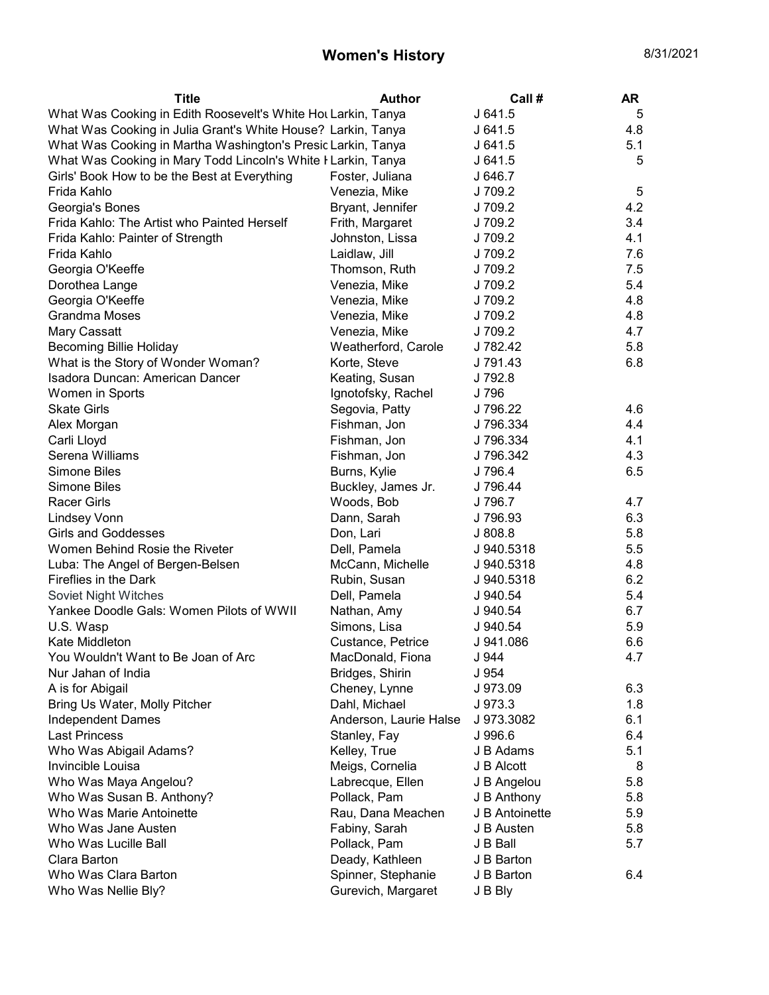| <b>Title</b>                                                  | <b>Author</b>          | Call #         | <b>AR</b> |
|---------------------------------------------------------------|------------------------|----------------|-----------|
| What Was Cooking in Edith Roosevelt's White Hot Larkin, Tanya |                        | J641.5         | 5         |
| What Was Cooking in Julia Grant's White House? Larkin, Tanya  |                        | J641.5         | 4.8       |
| What Was Cooking in Martha Washington's Presid Larkin, Tanya  |                        | J 641.5        | 5.1       |
| What Was Cooking in Mary Todd Lincoln's White I Larkin, Tanya |                        | J 641.5        | 5         |
| Girls' Book How to be the Best at Everything                  | Foster, Juliana        | J 646.7        |           |
| Frida Kahlo                                                   | Venezia, Mike          | J 709.2        | 5         |
| Georgia's Bones                                               | Bryant, Jennifer       | J 709.2        | 4.2       |
| Frida Kahlo: The Artist who Painted Herself                   | Frith, Margaret        | J 709.2        | 3.4       |
| Frida Kahlo: Painter of Strength                              | Johnston, Lissa        | J 709.2        | 4.1       |
| Frida Kahlo                                                   | Laidlaw, Jill          | J 709.2        | 7.6       |
| Georgia O'Keeffe                                              | Thomson, Ruth          | J 709.2        | 7.5       |
| Dorothea Lange                                                | Venezia, Mike          | J 709.2        | 5.4       |
| Georgia O'Keeffe                                              | Venezia, Mike          | J 709.2        | 4.8       |
| <b>Grandma Moses</b>                                          | Venezia, Mike          | J 709.2        | 4.8       |
| Mary Cassatt                                                  | Venezia, Mike          | J 709.2        | 4.7       |
| <b>Becoming Billie Holiday</b>                                | Weatherford, Carole    | J 782.42       | 5.8       |
| What is the Story of Wonder Woman?                            | Korte, Steve           | J 791.43       | 6.8       |
| Isadora Duncan: American Dancer                               | Keating, Susan         | J 792.8        |           |
| Women in Sports                                               | Ignotofsky, Rachel     | J 796          |           |
| <b>Skate Girls</b>                                            | Segovia, Patty         | J 796.22       | 4.6       |
| Alex Morgan                                                   | Fishman, Jon           | J 796.334      | 4.4       |
| Carli Lloyd                                                   | Fishman, Jon           | J 796.334      | 4.1       |
| Serena Williams                                               | Fishman, Jon           | J 796.342      | 4.3       |
| Simone Biles                                                  | Burns, Kylie           | J 796.4        | 6.5       |
| Simone Biles                                                  | Buckley, James Jr.     | J 796.44       |           |
| <b>Racer Girls</b>                                            | Woods, Bob             | J 796.7        | 4.7       |
| <b>Lindsey Vonn</b>                                           | Dann, Sarah            | J 796.93       | 6.3       |
| <b>Girls and Goddesses</b>                                    | Don, Lari              | J808.8         | 5.8       |
| Women Behind Rosie the Riveter                                | Dell, Pamela           | J 940.5318     | 5.5       |
| Luba: The Angel of Bergen-Belsen                              | McCann, Michelle       | J 940.5318     | 4.8       |
| Fireflies in the Dark                                         | Rubin, Susan           | J 940.5318     | 6.2       |
| Soviet Night Witches                                          | Dell, Pamela           | J 940.54       | 5.4       |
| Yankee Doodle Gals: Women Pilots of WWII                      | Nathan, Amy            | J 940.54       | 6.7       |
| U.S. Wasp                                                     | Simons, Lisa           | J 940.54       | 5.9       |
| Kate Middleton                                                | Custance, Petrice      | J 941.086      | 6.6       |
| You Wouldn't Want to Be Joan of Arc                           | MacDonald, Fiona       | J 944          | 4.7       |
| Nur Jahan of India                                            | Bridges, Shirin        | J 954          |           |
| A is for Abigail                                              | Cheney, Lynne          | J 973.09       | 6.3       |
| Bring Us Water, Molly Pitcher                                 | Dahl, Michael          | J 973.3        | 1.8       |
| <b>Independent Dames</b>                                      | Anderson, Laurie Halse | J 973.3082     | 6.1       |
| <b>Last Princess</b>                                          | Stanley, Fay           | J 996.6        | 6.4       |
| Who Was Abigail Adams?                                        | Kelley, True           | J B Adams      | 5.1       |
| Invincible Louisa                                             | Meigs, Cornelia        | J B Alcott     | 8         |
| Who Was Maya Angelou?                                         | Labrecque, Ellen       | J B Angelou    | 5.8       |
| Who Was Susan B. Anthony?                                     | Pollack, Pam           | J B Anthony    | 5.8       |
| Who Was Marie Antoinette                                      | Rau, Dana Meachen      | J B Antoinette | 5.9       |
| Who Was Jane Austen                                           | Fabiny, Sarah          | J B Austen     | 5.8       |
| Who Was Lucille Ball                                          | Pollack, Pam           | J B Ball       | 5.7       |
| Clara Barton                                                  | Deady, Kathleen        | J B Barton     |           |
| Who Was Clara Barton                                          | Spinner, Stephanie     | J B Barton     | 6.4       |
| Who Was Nellie Bly?                                           | Gurevich, Margaret     | J B Bly        |           |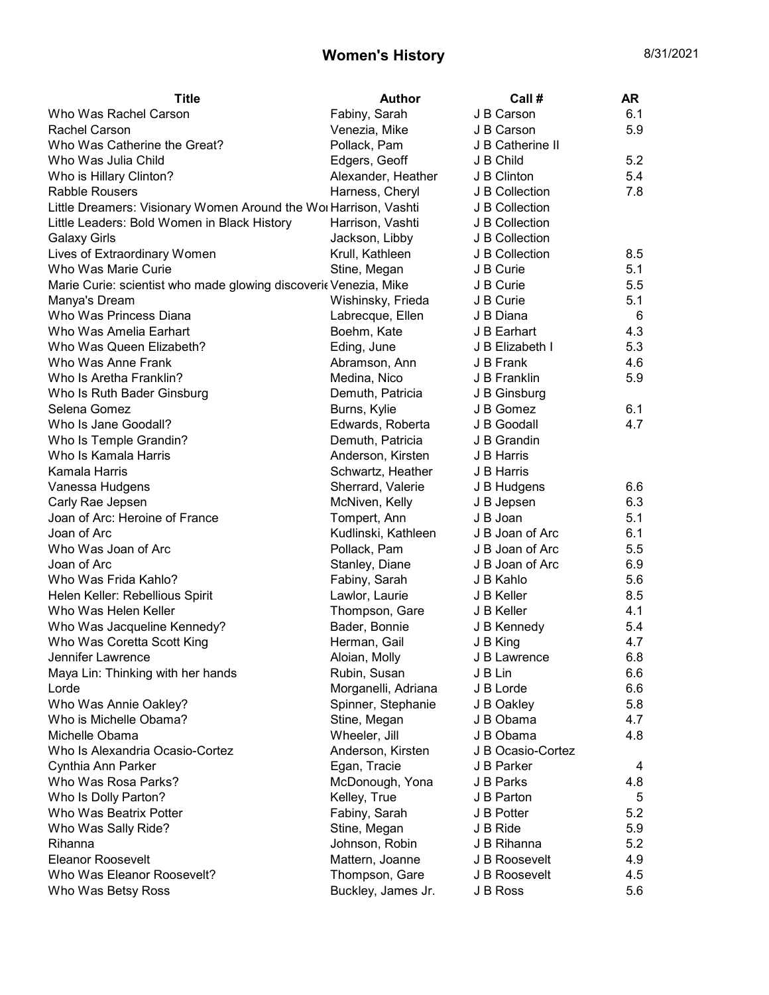| Title                                                            | <b>Author</b>       | Call#             | <b>AR</b> |
|------------------------------------------------------------------|---------------------|-------------------|-----------|
| Who Was Rachel Carson                                            | Fabiny, Sarah       | J B Carson        | 6.1       |
| Rachel Carson                                                    | Venezia, Mike       | J B Carson        | 5.9       |
| Who Was Catherine the Great?                                     | Pollack, Pam        | J B Catherine II  |           |
| Who Was Julia Child                                              | Edgers, Geoff       | J B Child         | 5.2       |
| Who is Hillary Clinton?                                          | Alexander, Heather  | J B Clinton       | 5.4       |
| <b>Rabble Rousers</b>                                            | Harness, Cheryl     | J B Collection    | 7.8       |
| Little Dreamers: Visionary Women Around the Wor Harrison, Vashti |                     | J B Collection    |           |
| Little Leaders: Bold Women in Black History                      | Harrison, Vashti    | J B Collection    |           |
| <b>Galaxy Girls</b>                                              | Jackson, Libby      | J B Collection    |           |
| Lives of Extraordinary Women                                     | Krull, Kathleen     | J B Collection    | 8.5       |
| Who Was Marie Curie                                              | Stine, Megan        | J B Curie         | 5.1       |
| Marie Curie: scientist who made glowing discoveric Venezia, Mike |                     | J B Curie         | 5.5       |
| Manya's Dream                                                    | Wishinsky, Frieda   | J B Curie         | 5.1       |
| Who Was Princess Diana                                           | Labrecque, Ellen    | J B Diana         | 6         |
| Who Was Amelia Earhart                                           | Boehm, Kate         | J B Earhart       | 4.3       |
| Who Was Queen Elizabeth?                                         | Eding, June         | J B Elizabeth I   | 5.3       |
| Who Was Anne Frank                                               | Abramson, Ann       | J B Frank         | 4.6       |
| Who Is Aretha Franklin?                                          | Medina, Nico        | J B Franklin      | 5.9       |
| Who Is Ruth Bader Ginsburg                                       | Demuth, Patricia    | J B Ginsburg      |           |
| Selena Gomez                                                     | Burns, Kylie        | J B Gomez         | 6.1       |
| Who Is Jane Goodall?                                             | Edwards, Roberta    | J B Goodall       | 4.7       |
| Who Is Temple Grandin?                                           | Demuth, Patricia    | J B Grandin       |           |
| Who Is Kamala Harris                                             | Anderson, Kirsten   | J B Harris        |           |
| Kamala Harris                                                    | Schwartz, Heather   | J B Harris        |           |
| Vanessa Hudgens                                                  | Sherrard, Valerie   | J B Hudgens       | 6.6       |
| Carly Rae Jepsen                                                 | McNiven, Kelly      | J B Jepsen        | 6.3       |
| Joan of Arc: Heroine of France                                   | Tompert, Ann        | J B Joan          | 5.1       |
| Joan of Arc                                                      | Kudlinski, Kathleen | J B Joan of Arc   | 6.1       |
| Who Was Joan of Arc                                              | Pollack, Pam        | J B Joan of Arc   | 5.5       |
| Joan of Arc                                                      | Stanley, Diane      | J B Joan of Arc   | 6.9       |
| Who Was Frida Kahlo?                                             | Fabiny, Sarah       | J B Kahlo         | 5.6       |
| Helen Keller: Rebellious Spirit                                  | Lawlor, Laurie      | J B Keller        | 8.5       |
| Who Was Helen Keller                                             | Thompson, Gare      | J B Keller        | 4.1       |
| Who Was Jacqueline Kennedy?                                      | Bader, Bonnie       | J B Kennedy       | 5.4       |
| Who Was Coretta Scott King                                       | Herman, Gail        | J B King          | 4.7       |
| Jennifer Lawrence                                                | Aloian, Molly       | J B Lawrence      | 6.8       |
| Maya Lin: Thinking with her hands                                | Rubin, Susan        | J B Lin           | 6.6       |
| Lorde                                                            | Morganelli, Adriana | J B Lorde         | 6.6       |
| Who Was Annie Oakley?                                            | Spinner, Stephanie  | J B Oakley        | 5.8       |
| Who is Michelle Obama?                                           | Stine, Megan        | J B Obama         | 4.7       |
| Michelle Obama                                                   | Wheeler, Jill       | J B Obama         | 4.8       |
| Who Is Alexandria Ocasio-Cortez                                  | Anderson, Kirsten   | J B Ocasio-Cortez |           |
| Cynthia Ann Parker                                               | Egan, Tracie        | J B Parker        | 4         |
| Who Was Rosa Parks?                                              | McDonough, Yona     | J B Parks         | 4.8       |
| Who Is Dolly Parton?                                             | Kelley, True        | J B Parton        | 5         |
| Who Was Beatrix Potter                                           | Fabiny, Sarah       | J B Potter        | 5.2       |
| Who Was Sally Ride?                                              | Stine, Megan        | J B Ride          | 5.9       |
| Rihanna                                                          | Johnson, Robin      | J B Rihanna       | 5.2       |
| <b>Eleanor Roosevelt</b>                                         | Mattern, Joanne     | J B Roosevelt     | 4.9       |
| Who Was Eleanor Roosevelt?                                       | Thompson, Gare      | J B Roosevelt     | 4.5       |
| Who Was Betsy Ross                                               | Buckley, James Jr.  | J B Ross          | 5.6       |
|                                                                  |                     |                   |           |